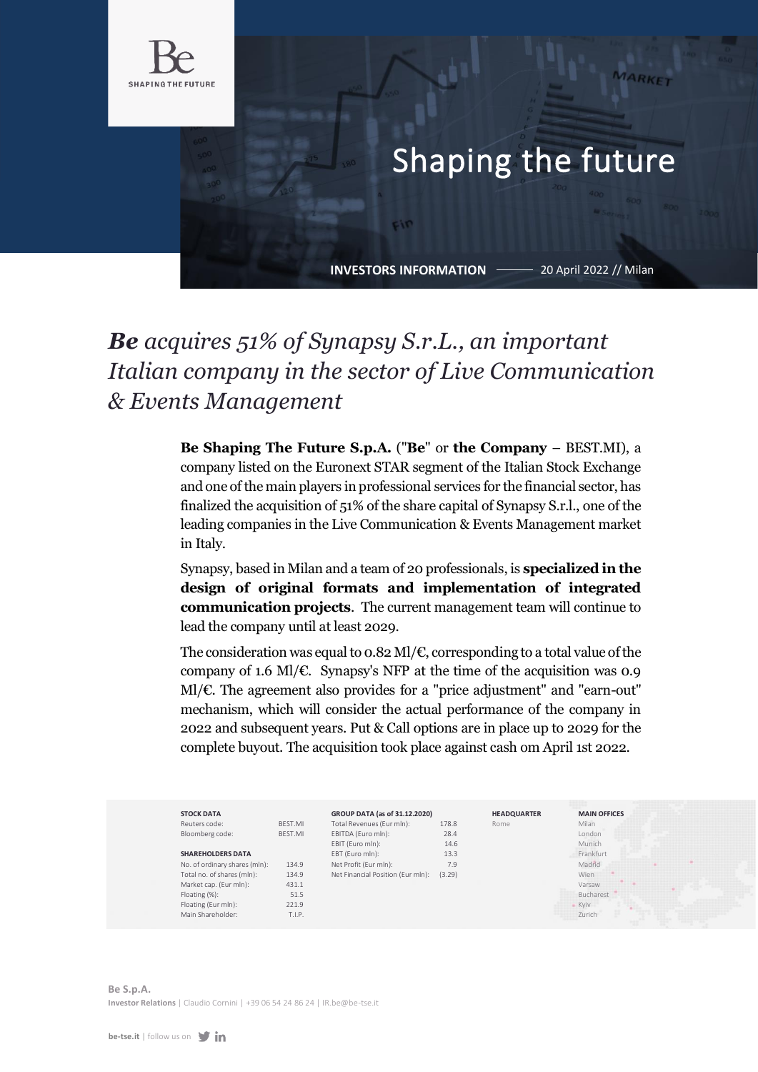

## Shaping the future

**INVESTORS INFORMATION**

Fin

20 April 2022 // Milan

## *Be acquires 51% of Synapsy S.r.L., an important Italian company in the sector of Live Communication & Events Management*

**Be Shaping The Future S.p.A.** ("**Be**" or **the Company** – BEST.MI), a company listed on the Euronext STAR segment of the Italian Stock Exchange and one of the main players in professional services for the financial sector, has finalized the acquisition of 51% of the share capital of Synapsy S.r.l., one of the leading companies in the Live Communication & Events Management market in Italy.

Synapsy, based in Milan and a team of 20 professionals, is **specialized in the design of original formats and implementation of integrated communication projects**. The current management team will continue to lead the company until at least 2029.

The consideration was equal to 0.82 Ml/ $\epsilon$ , corresponding to a total value of the company of 1.6 Ml/ $\epsilon$ . Synapsy's NFP at the time of the acquisition was 0.9 Ml/€. The agreement also provides for a "price adjustment" and "earn-out" mechanism, which will consider the actual performance of the company in 2022 and subsequent years. Put & Call options are in place up to 2029 for the complete buyout. The acquisition took place against cash om April 1st 2022.

| <b>STOCK DATA</b>             |         | GROUP DATA (as of 31.12.2020)     |        | <b>HEADQUARTER</b> | <b>MAIN OFFICES</b> |  |
|-------------------------------|---------|-----------------------------------|--------|--------------------|---------------------|--|
| Reuters code:                 | BEST.MI | Total Revenues (Eur mln):         | 178.8  | Rome               | Milan               |  |
| Bloomberg code:               | BEST.MI | EBITDA (Euro mln):                | 28.4   |                    | London              |  |
|                               |         | EBIT (Euro mln):                  | 14.6   |                    | Munich              |  |
| <b>SHAREHOLDERS DATA</b>      |         | EBT (Euro mln):                   | 13.3   |                    | Frankfurt           |  |
| No. of ordinary shares (mln): | 134.9   | Net Profit (Eur mln):             | 7.9    |                    | Madrid              |  |
| Total no. of shares (mln):    | 134.9   | Net Financial Position (Eur mln): | (3.29) |                    | Wien                |  |
| Market cap. (Eur mln):        | 431.1   |                                   |        |                    | Varsaw              |  |
| Floating (%):                 | 51.5    |                                   |        |                    | Bucharest           |  |
| Floating (Eur mln):           | 221.9   |                                   |        |                    | <b>Kyiv</b>         |  |
| Main Shareholder:             | T.I.P.  |                                   |        |                    | Zurich              |  |

**Be S.p.A. Investor Relations** | Claudio Cornini [| +39 06 54 24 86 24 | IR.be@be-tse.it](mailto:IR.be@be-tse.it)